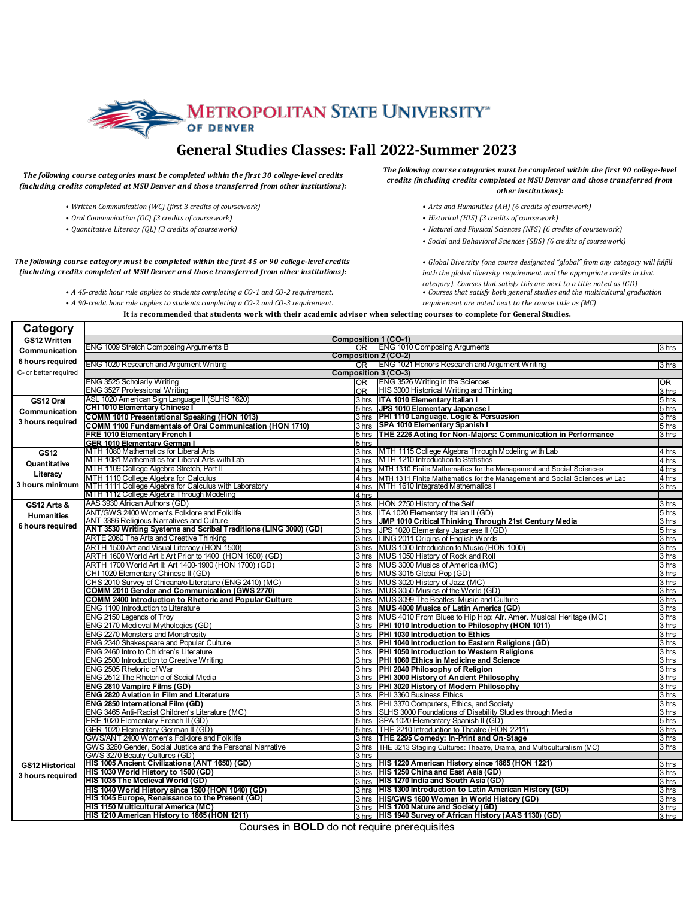

## General Studies Classes: Fall 2022-Summer 2023

## The following course categories must be completed within the first 30 college-level credits (including credits completed at MSU Denver and those transferred from other institutions):

- *• Written Communication (WC) (first 3 credits of coursework)*
- *• Oral Communication (OC) (3 credits of coursework)*
- *• Quantitative Literacy (QL) (3 credits of coursework)*

The following course category must be completed within the first 45 or 90 college-level credits (including credits completed at MSU Denver and those transferred from other institutions):

• A 45-credit hour rule applies to students completing a CO-1 and CO-2 requirement.

• *A* 90-credit hour rule applies to students completing a CO-2 and CO-3 requirement.

The following course categories must be completed within the first 90 college-level *credits (including credits completed at MSU Denver and those transferred from other institutions):*

- Arts and Humanities (AH) (6 credits of coursework)
- *• Historical (HIS) (3 credits of coursework)*
- *• Natural and Physical Sciences (NPS) (6 credits of coursework)*
- *• Social and Behavioral Sciences (SBS) (6 credits of coursework)*

• Global Diversity (one course designated "global" from any category will fulfill both the global diversity requirement and the appropriate credits in that *category*). Courses that satisfy this are next to a title noted as (GD)

• Courses that satisfy both general studies and the multicultural graduation *requirement are noted next to the course title as (MC)* 

It is recommended that students work with their academic advisor when selecting courses to complete for General Studies.

| Category               |                                                                                       |                                                                                                                          |                    |
|------------------------|---------------------------------------------------------------------------------------|--------------------------------------------------------------------------------------------------------------------------|--------------------|
| GS12 Written           |                                                                                       | <b>Composition 1 (CO-1)</b>                                                                                              |                    |
| Communication          | ENG 1009 Stretch Composing Arguments B                                                | <b>ENG 1010 Composing Arguments</b><br>OR.                                                                               | 3 hrs              |
| 6 hours required       |                                                                                       | <b>Composition 2 (CO-2)</b>                                                                                              |                    |
|                        | ENG 1020 Research and Argument Writing                                                | ENG 1021 Honors Research and Argument Writing<br>OR.                                                                     | 3 hrs              |
| C- or better required  |                                                                                       | Composition 3 (CO-3)                                                                                                     |                    |
|                        | ENG 3525 Scholarly Writing                                                            | <b>ENG 3526 Writing in the Sciences</b><br>OR                                                                            | OR.                |
|                        | <b>ENG 3527 Professional Writing</b>                                                  | <b>HIS 3000 Historical Writing and Thinking</b><br>OR                                                                    | 3 <sub>hrs</sub>   |
| GS12 Oral              | ASL 1020 American Sign Language II (SLHS 1620)<br>CHI 1010 Elementary Chinese I       | 3 hrs ITA 1010 Elementary Italian I                                                                                      | 5 <sub>hrs</sub>   |
| Communication          | COMM 1010 Presentational Speaking (HON 1013)                                          | JPS 1010 Elementary Japanese I<br>5 hrs<br>PHI 1110 Language, Logic & Persuasion<br>3 hrs                                | 5 hrs<br>3 hrs     |
| 3 hours required       | COMM 1100 Fundamentals of Oral Communication (HON 1710)                               | <b>SPA 1010 Elementary Spanish I</b><br>3 hrs                                                                            | 5 hrs              |
|                        | <b>FRE 1010 Elementary French I</b>                                                   | THE 2226 Acting for Non-Majors: Communication in Performance<br>5 hrs                                                    | 3 hrs              |
|                        | <b>GER 1010 Elementary German I</b>                                                   | 5 <sub>hrs</sub>                                                                                                         |                    |
| <b>GS12</b>            | MTH 1080 Mathematics for Liberal Arts                                                 | 3 hrs MTH 1115 College Algebra Through Modeling with Lab                                                                 | 4 hrs              |
|                        | MTH 1081 Mathematics for Liberal Arts with Lab                                        | 3 hrs MTH 1210 Introduction to Statistics                                                                                | 4 hrs              |
| Quantitative           | MTH 1109 College Algebra Stretch, Part II                                             | MTH 1310 Finite Mathematics for the Management and Social Sciences<br>4 hrs                                              | 4 hrs              |
| Literacy               | MTH 1110 College Algebra for Calculus                                                 | MTH 1311 Finite Mathematics for the Management and Social Sciences w/ Lab<br>4 hrs                                       | 4 hrs              |
| 3 hours minimum        | MTH 1111 College Algebra for Calculus with Laboratory                                 | MTH 1610 Integrated Mathematics I<br>4 hrs                                                                               | 3 hrs              |
|                        | MTH 1112 College Algebra Through Modeling                                             | 4 hrs                                                                                                                    |                    |
| <b>GS12 Arts &amp;</b> | AAS 3930 African Authors (GD)                                                         | 3 hrs HON 2750 History of the Self                                                                                       | 3 <sub>hrs</sub>   |
| <b>Humanities</b>      | ANT/GWS 2400 Women's Folklore and Folklife                                            | 3 hrs<br>ITA 1020 Elementary Italian II (GD)                                                                             | 5 hrs              |
|                        | ANT 3386 Religious Narratives and Culture                                             | JMP 1010 Critical Thinking Through 21st Century Media<br>3 hrs                                                           | $\overline{3}$ hrs |
| 6 hours required       | ANT 3530 Writing Systems and Scribal Traditions (LING 3090) (GD)                      | 3 hrs JPS 1020 Elementary Japanese II (GD)                                                                               | 5 <sub>hrs</sub>   |
|                        | ARTE 2060 The Arts and Creative Thinking                                              | LING 2011 Origins of English Words<br>3 hrs                                                                              | 3 hrs              |
|                        | ARTH 1500 Art and Visual Literacy (HON 1500)                                          | 3 hrs MUS 1000 Introduction to Music (HON 1000)                                                                          | 3 <sub>hrs</sub>   |
|                        | ARTH 1600 World Art I: Art Prior to 1400 (HON 1600) (GD)                              | 3 hrs MUS 1050 History of Rock and Roll                                                                                  | 3 hrs              |
|                        | ARTH 1700 World Art II: Art 1400-1900 (HON 1700) (GD)                                 | 3 hrs MUS 3000 Musics of America (MC)                                                                                    | 3 <sub>hrs</sub>   |
|                        | CHI 1020 Elementary Chinese II (GD)                                                   | 5 hrs MUS 3015 Global Pop (GD)                                                                                           | 3 hrs              |
|                        | CHS 2010 Survey of Chicana/o Literature (ENG 2410) (MC)                               | 3 hrs MUS 3020 History of Jazz (MC)                                                                                      | 3 hrs              |
|                        | COMM 2010 Gender and Communication (GWS 2770)                                         | MUS 3050 Musics of the World (GD)<br>3 hrs                                                                               | 3 <sub>hrs</sub>   |
|                        | <b>COMM 2400 Introduction to Rhetoric and Popular Culture</b>                         | MUS 3099 The Beatles: Music and Culture<br>3 hrs                                                                         | 3 hrs              |
|                        | ENG 1100 Introduction to Literature<br>ENG 2150 Legends of Troy                       | 3 hrs MUS 4000 Musics of Latin America (GD)<br>3 hrs<br>MUS 4010 From Blues to Hip Hop: Afr. Amer. Musical Heritage (MC) | 3 hrs<br>3 hrs     |
|                        | ENG 2170 Medieval Mythologies (GD)                                                    | 3 hrs PHI 1010 Introduction to Philosophy (HON 1011)                                                                     | 3 hrs              |
|                        | ENG 2270 Monsters and Monstrosity                                                     | 3 hrs PHI 1030 Introduction to Ethics                                                                                    | 3 hrs              |
|                        | ENG 2340 Shakespeare and Popular Culture                                              | <b>IPHI 1040 Introduction to Eastern Religions (GD)</b><br>3 hrs                                                         | 3 hrs              |
|                        | ENG 2460 Intro to Children's Literature                                               | 3 hrs PHI 1050 Introduction to Western Religions                                                                         | 3 <sub>hrs</sub>   |
|                        | ENG 2500 Introduction to Creative Writing                                             | 3 hrs PHI 1060 Ethics in Medicine and Science                                                                            | 3 hrs              |
|                        | ENG 2505 Rhetoric of War                                                              | 3 hrs PHI 2040 Philosophy of Religion                                                                                    | 3 hrs              |
|                        | ENG 2512 The Rhetoric of Social Media                                                 | 3 hrs PHI 3000 History of Ancient Philosophy                                                                             | 3 hrs              |
|                        | ENG 2810 Vampire Films (GD)                                                           | PHI 3020 History of Modern Philosophy<br>3 hrs                                                                           | 3 hrs              |
|                        | <b>ENG 2820 Aviation in Film and Literature</b>                                       | 3 hrs PHI 3360 Business Ethics                                                                                           | 3 <sub>hrs</sub>   |
|                        | ENG 2850 International Film (GD)                                                      | PHI 3370 Computers, Ethics, and Society<br>3 hrs                                                                         | 3 hrs              |
|                        | ENG 3465 Anti-Racist Children's Literature (MC)                                       | 3 hrs SLHS 3000 Foundations of Disability Studies through Media                                                          | 3 hrs              |
|                        | FRE 1020 Elementary French II (GD)                                                    | 5 hrs SPA 1020 Elementary Spanish II (GD)                                                                                | 5 hrs              |
|                        | GER 1020 Elementary German II (GD)                                                    | THE 2210 Introduction to Theatre (HON 2211)<br>5 hrs                                                                     | 3 hrs              |
|                        | GWS/ANT 2400 Women's Folklore and Folklife                                            | THE 2295 Comedy: In-Print and On-Stage<br>3 hrs                                                                          | 3 <sub>hrs</sub>   |
|                        | GWS 3260 Gender, Social Justice and the Personal Narrative                            | THE 3213 Staging Cultures: Theatre, Drama, and Multiculturalism (MC)<br>3 hrs                                            | 3 hrs              |
|                        | GWS 3270 Beauty Cultures (GD)                                                         | 3 hrs                                                                                                                    |                    |
| <b>GS12 Historical</b> | <b>IHIS 1005 Ancient Civilizations (ANT 1650) (GD)</b>                                | 3 hrs IHIS 1220 American History since 1865 (HON 1221)<br>3 hrs HIS 1250 China and East Asia (GD)                        | 3 hrs              |
| 3 hours required       | HIS 1030 World History to 1500 (GD)                                                   |                                                                                                                          | 3 hrs              |
|                        | HIS 1035 The Medieval World (GD)<br>HIS 1040 World History since 1500 (HON 1040) (GD) | 3 hrs HIS 1270 India and South Asia (GD)<br><b>HIS 1300 Introduction to Latin American History (GD)</b>                  | 3 hrs              |
|                        | HIS 1045 Europe, Renaissance to the Present (GD)                                      | 3 hrs<br>3 hrs HIS/GWS 1600 Women in World History (GD)                                                                  | 3 hrs<br>3 hrs     |
|                        | <b>HIS 1150 Multicultural America (MC)</b>                                            | 3 hrs HIS 1700 Nature and Society (GD)                                                                                   | 3 hrs              |
|                        | HIS 1210 American History to 1865 (HON 1211)                                          | $3 \text{ hrs}$ IHIS 1940 Survey of African History (AAS 1130) (GD)                                                      | 3 hrs              |
|                        |                                                                                       |                                                                                                                          |                    |

Courses in **BOLD** do not require prerequisites